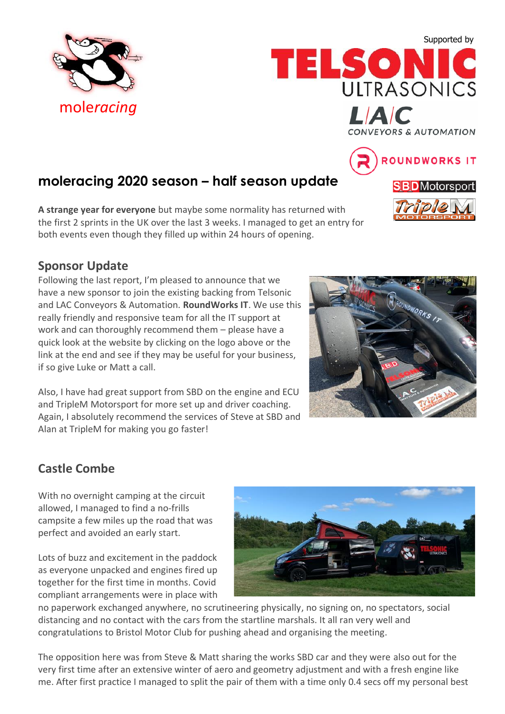Supported by

ROUNDWORKS IT

**SBD**Motorsport





# **moleracing 2020 season – half season update**

**A strange year for everyone** but maybe some normality has returned with the first 2 sprints in the UK over the last 3 weeks. I managed to get an entry for both events even though they filled up within 24 hours of opening.

## **Sponsor Update**

Following the last report, I'm pleased to announce that we have a new sponsor to join the existing backing from Telsonic and LAC Conveyors & Automation. **RoundWorks IT**. We use this really friendly and responsive team for all the IT support at work and can thoroughly recommend them – please have a quick look at the website by clicking on the logo above or the link at the end and see if they may be useful for your business, if so give Luke or Matt a call.

Also, I have had great support from SBD on the engine and ECU and TripleM Motorsport for more set up and driver coaching. Again, I absolutely recommend the services of Steve at SBD and Alan at TripleM for making you go faster!

# RAOUNDWORKS IT

# **Castle Combe**

With no overnight camping at the circuit allowed, I managed to find a no-frills campsite a few miles up the road that was perfect and avoided an early start.

Lots of buzz and excitement in the paddock as everyone unpacked and engines fired up together for the first time in months. Covid compliant arrangements were in place with



no paperwork exchanged anywhere, no scrutineering physically, no signing on, no spectators, social distancing and no contact with the cars from the startline marshals. It all ran very well and congratulations to Bristol Motor Club for pushing ahead and organising the meeting.

The opposition here was from Steve & Matt sharing the works SBD car and they were also out for the very first time after an extensive winter of aero and geometry adjustment and with a fresh engine like me. After first practice I managed to split the pair of them with a time only 0.4 secs off my personal best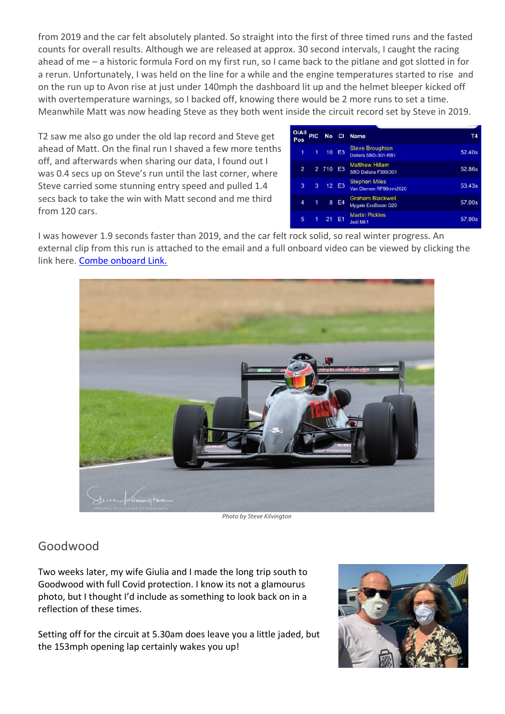from 2019 and the car felt absolutely planted. So straight into the first of three timed runs and the fasted counts for overall results. Although we are released at approx. 30 second intervals, I caught the racing ahead of me – a historic formula Ford on my first run, so I came back to the pitlane and got slotted in for a rerun. Unfortunately, I was held on the line for a while and the engine temperatures started to rise and on the run up to Avon rise at just under 140mph the dashboard lit up and the helmet bleeper kicked off with overtemperature warnings, so I backed off, knowing there would be 2 more runs to set a time. Meanwhile Matt was now heading Steve as they both went inside the circuit record set by Steve in 2019.

T2 saw me also go under the old lap record and Steve get ahead of Matt. On the final run I shaved a few more tenths off, and afterwards when sharing our data, I found out I was 0.4 secs up on Steve's run until the last corner, where Steve carried some stunning entry speed and pulled 1.4 secs back to take the win with Matt second and me third from 120 cars.

| <b>O/All</b><br>Pos. | PIC. |          | No Cl          | <b>Name</b>                                    | Τ4     |
|----------------------|------|----------|----------------|------------------------------------------------|--------|
| 1                    | 1    |          | 10 E3          | <b>Steve Broughton</b><br>Dallara SBD-301-RB1  | 52.40s |
| $\overline{2}$       |      | 2 710 E3 |                | <b>Matthew Hillam</b><br>SBD Dallara F399/301  | 52.86s |
| 3                    | 3    |          | 12 E3          | <b>Stephen Miles</b><br>Van Diemen RF96mm2020  | 53.43s |
| 4                    | 1    | 8        | E4             | <b>Graham Blackwell</b><br>Mygale EcoBoost G20 | 57.00s |
| 5                    | 1    | 21       | E <sub>1</sub> | <b>Martin Pickles</b><br>Jedi Mk1              | 57.90s |
|                      |      |          |                |                                                |        |

I was however 1.9 seconds faster than 2019, and the car felt rock solid, so real winter progress. An external clip from this run is attached to the email and a full onboard video can be viewed by clicking the link here. [Combe onboard Link.](https://youtu.be/gRJKt3NsqoY)



*Photo by Steve Kilvington*

### Goodwood

Two weeks later, my wife Giulia and I made the long trip south to Goodwood with full Covid protection. I know its not a glamourus photo, but I thought I'd include as something to look back on in a reflection of these times.

Setting off for the circuit at 5.30am does leave you a little jaded, but the 153mph opening lap certainly wakes you up!

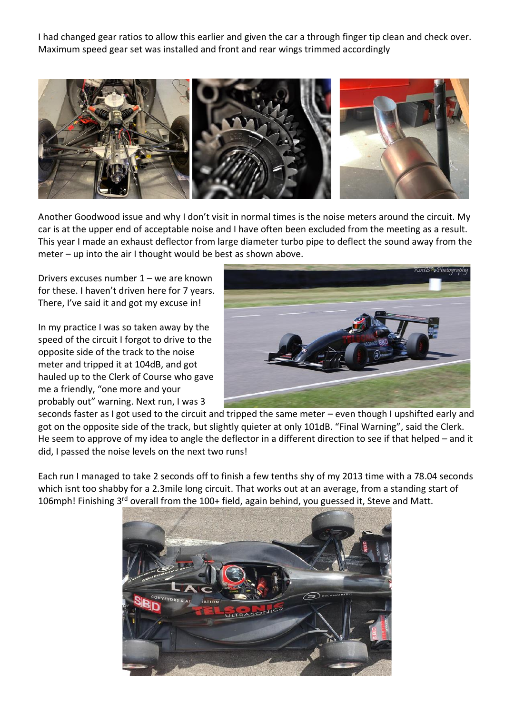I had changed gear ratios to allow this earlier and given the car a through finger tip clean and check over. Maximum speed gear set was installed and front and rear wings trimmed accordingly



Another Goodwood issue and why I don't visit in normal times is the noise meters around the circuit. My car is at the upper end of acceptable noise and I have often been excluded from the meeting as a result. This year I made an exhaust deflector from large diameter turbo pipe to deflect the sound away from the meter – up into the air I thought would be best as shown above.

Drivers excuses number 1 – we are known for these. I haven't driven here for 7 years. There, I've said it and got my excuse in!

In my practice I was so taken away by the speed of the circuit I forgot to drive to the opposite side of the track to the noise meter and tripped it at 104dB, and got hauled up to the Clerk of Course who gave me a friendly, "one more and your probably out" warning. Next run, I was 3



seconds faster as I got used to the circuit and tripped the same meter – even though I upshifted early and got on the opposite side of the track, but slightly quieter at only 101dB. "Final Warning", said the Clerk. He seem to approve of my idea to angle the deflector in a different direction to see if that helped – and it did, I passed the noise levels on the next two runs!

Each run I managed to take 2 seconds off to finish a few tenths shy of my 2013 time with a 78.04 seconds which isnt too shabby for a 2.3mile long circuit. That works out at an average, from a standing start of 106mph! Finishing 3rd overall from the 100+ field, again behind, you guessed it, Steve and Matt.